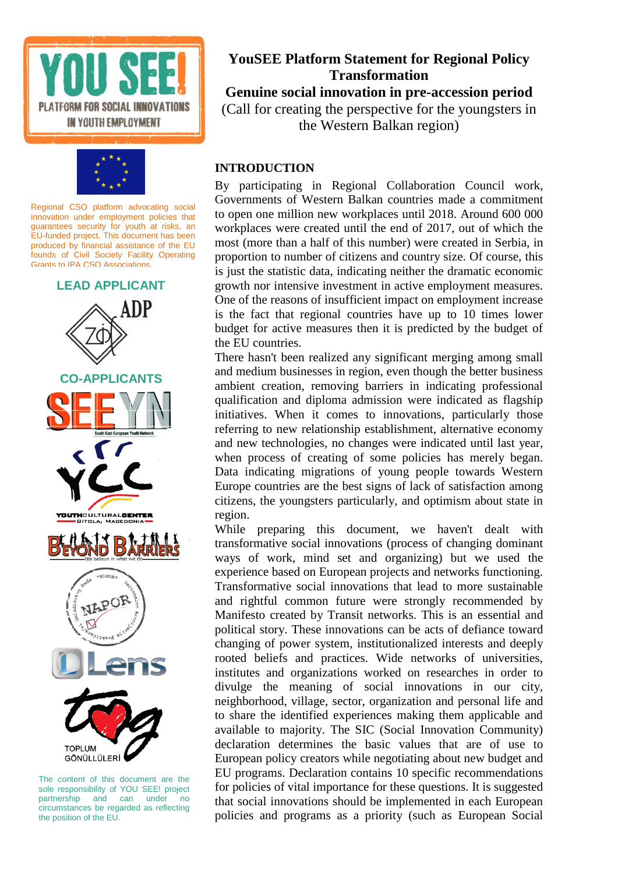





The content of this document are the sole responsibility of YOU SEE! project partnership and can under no circumstances be regarded as reflecting the position of the EU.

### **YouSEE Platform Statement for Regional Policy Transformation Genuine social innovation in pre-accession period** (Call for creating the perspective for the youngsters in

the Western Balkan region)

#### **INTRODUCTION**

By participating in Regional Collaboration Council work, Governments of Western Balkan countries made a commitment to open one million new workplaces until 2018. Around 600 000 workplaces were created until the end of 2017, out of which the most (more than a half of this number) were created in Serbia, in proportion to number of citizens and country size. Of course, this is just the statistic data, indicating neither the dramatic economic growth nor intensive investment in active employment measures. One of the reasons of insufficient impact on employment increase is the fact that regional countries have up to 10 times lower budget for active measures then it is predicted by the budget of the EU countries.

There hasn't been realized any significant merging among small and medium businesses in region, even though the better business ambient creation, removing barriers in indicating professional qualification and diploma admission were indicated as flagship initiatives. When it comes to innovations, particularly those referring to new relationship establishment, alternative economy and new technologies, no changes were indicated until last year, when process of creating of some policies has merely began. Data indicating migrations of young people towards Western Europe countries are the best signs of lack of satisfaction among citizens, the youngsters particularly, and optimism about state in region.

While preparing this document, we haven't dealt with transformative social innovations (process of changing dominant ways of work, mind set and organizing) but we used the experience based on European projects and networks functioning. Transformative social innovations that lead to more sustainable and rightful common future were strongly recommended by Manifesto created by Transit networks. This is an essential and political story. These innovations can be acts of defiance toward changing of power system, institutionalized interests and deeply rooted beliefs and practices. Wide networks of universities, institutes and organizations worked on researches in order to divulge the meaning of social innovations in our city, neighborhood, village, sector, organization and personal life and to share the identified experiences making them applicable and available to majority. The SIC (Social Innovation Community) declaration determines the basic values that are of use to European policy creators while negotiating about new budget and EU programs. Declaration contains 10 specific recommendations for policies of vital importance for these questions. It is suggested that social innovations should be implemented in each European policies and programs as a priority (such as European Social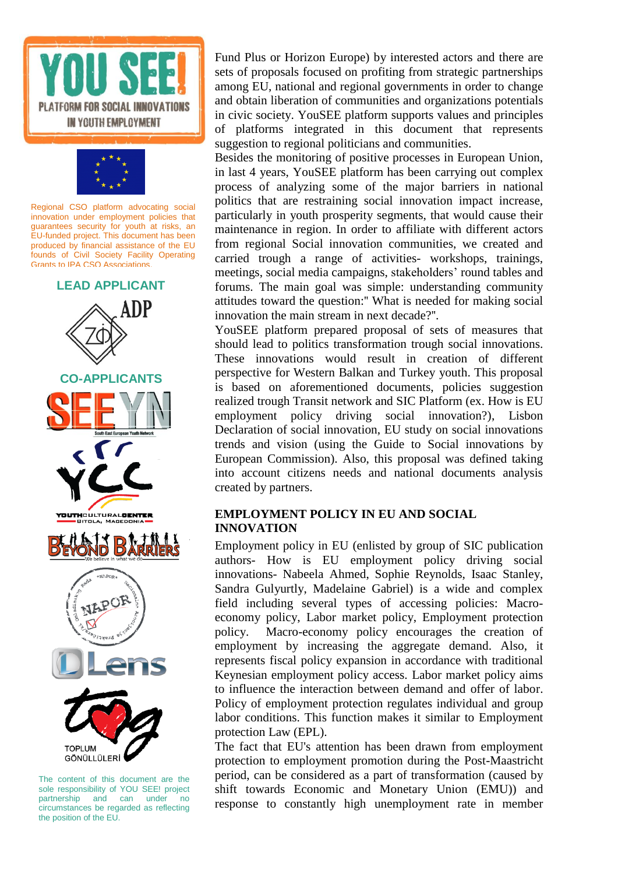





The content of this document are the sole responsibility of YOU SEE! project partnership and can under no circumstances be regarded as reflecting the position of the EU.

Fund Plus or Horizon Europe) by interested actors and there are sets of proposals focused on profiting from strategic partnerships among EU, national and regional governments in order to change and obtain liberation of communities and organizations potentials in civic society. YouSEE platform supports values and principles of platforms integrated in this document that represents suggestion to regional politicians and communities.

Besides the monitoring of positive processes in European Union, in last 4 years, YouSEE platform has been carrying out complex process of analyzing some of the major barriers in national politics that are restraining social innovation impact increase, particularly in youth prosperity segments, that would cause their maintenance in region. In order to affiliate with different actors from regional Social innovation communities, we created and carried trough a range of activities- workshops, trainings, meetings, social media campaigns, stakeholders' round tables and forums. The main goal was simple: understanding community attitudes toward the question:'' What is needed for making social innovation the main stream in next decade?''.

YouSEE platform prepared proposal of sets of measures that should lead to politics transformation trough social innovations. These innovations would result in creation of different perspective for Western Balkan and Turkey youth. This proposal is based on aforementioned documents, policies suggestion realized trough Transit network and SIC Platform (ex. How is EU employment policy driving social innovation?), Lisbon Declaration of social innovation, EU study on social innovations trends and vision (using the Guide to Social innovations by European Commission). Also, this proposal was defined taking into account citizens needs and national documents analysis created by partners.

#### **EMPLOYMENT POLICY IN EU AND SOCIAL INNOVATION**

Employment policy in EU (enlisted by group of SIC publication authors- How is EU employment policy driving social innovations- Nabeela Ahmed, Sophie Reynolds, Isaac Stanley, Sandra Gulyurtly, Madelaine Gabriel) is a wide and complex field including several types of accessing policies: Macroeconomy policy, Labor market policy, Employment protection policy. Macro-economy policy encourages the creation of employment by increasing the aggregate demand. Also, it represents fiscal policy expansion in accordance with traditional Keynesian employment policy access. Labor market policy aims to influence the interaction between demand and offer of labor. Policy of employment protection regulates individual and group labor conditions. This function makes it similar to Employment protection Law (EPL).

The fact that EU's attention has been drawn from employment protection to employment promotion during the Post-Maastricht period, can be considered as a part of transformation (caused by shift towards Economic and Monetary Union (EMU)) and response to constantly high unemployment rate in member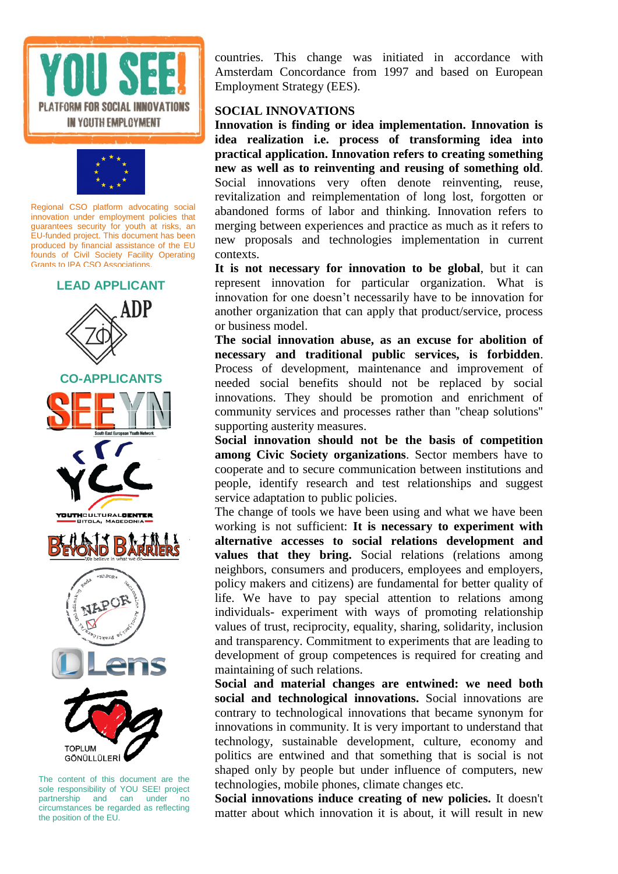



#### **LEAD APPLICANT**



The content of this document are the sole responsibility of YOU SEE! project partnership and can under no circumstances be regarded as reflecting the position of the EU.

countries. This change was initiated in accordance with Amsterdam Concordance from 1997 and based on European Employment Strategy (EES).

#### **SOCIAL INNOVATIONS**

**Innovation is finding or idea implementation. Innovation is idea realization i.e. process of transforming idea into practical application. Innovation refers to creating something new as well as to reinventing and reusing of something old**. Social innovations very often denote reinventing, reuse, revitalization and reimplementation of long lost, forgotten or abandoned forms of labor and thinking. Innovation refers to merging between experiences and practice as much as it refers to new proposals and technologies implementation in current contexts.

**It is not necessary for innovation to be global**, but it can represent innovation for particular organization. What is innovation for one doesn't necessarily have to be innovation for another organization that can apply that product/service, process or business model.

**The social innovation abuse, as an excuse for abolition of necessary and traditional public services, is forbidden**. Process of development, maintenance and improvement of needed social benefits should not be replaced by social innovations. They should be promotion and enrichment of community services and processes rather than ''cheap solutions'' supporting austerity measures.

**Social innovation should not be the basis of competition among Civic Society organizations**. Sector members have to cooperate and to secure communication between institutions and people, identify research and test relationships and suggest service adaptation to public policies.

The change of tools we have been using and what we have been working is not sufficient: **It is necessary to experiment with alternative accesses to social relations development and values that they bring.** Social relations (relations among neighbors, consumers and producers, employees and employers, policy makers and citizens) are fundamental for better quality of life. We have to pay special attention to relations among individuals- experiment with ways of promoting relationship values of trust, reciprocity, equality, sharing, solidarity, inclusion and transparency. Commitment to experiments that are leading to development of group competences is required for creating and maintaining of such relations.

**Social and material changes are entwined: we need both social and technological innovations.** Social innovations are contrary to technological innovations that became synonym for innovations in community. It is very important to understand that technology, sustainable development, culture, economy and politics are entwined and that something that is social is not shaped only by people but under influence of computers, new technologies, mobile phones, climate changes etc.

**Social innovations induce creating of new policies.** It doesn't matter about which innovation it is about, it will result in new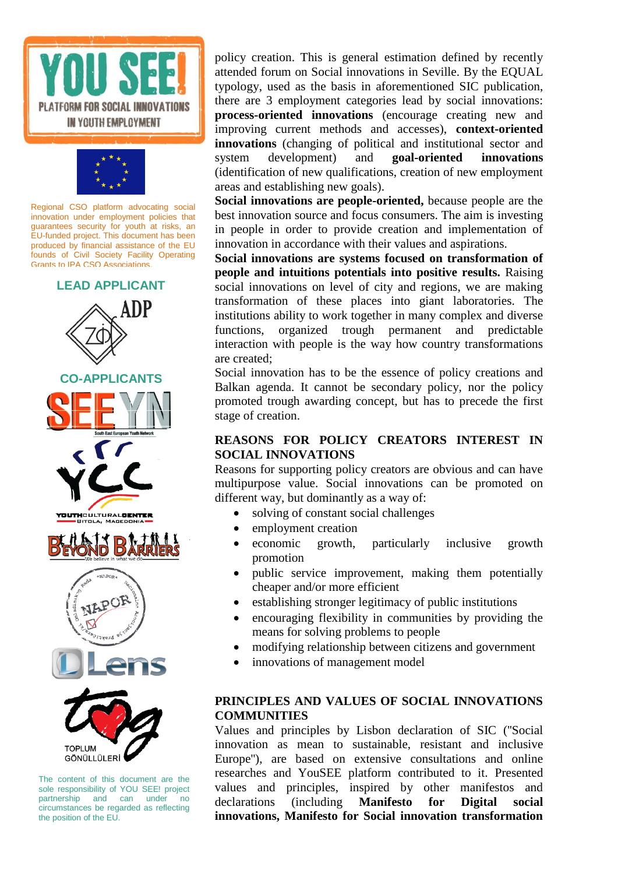



#### **LEAD APPLICANT**



The content of this document are the sole responsibility of YOU SEE! project partnership and can under no circumstances be regarded as reflecting the position of the EU.

policy creation. This is general estimation defined by recently attended forum on Social innovations in Seville. By the EQUAL typology, used as the basis in aforementioned SIC publication, there are 3 employment categories lead by social innovations: **process-oriented innovations** (encourage creating new and improving current methods and accesses), **context-oriented innovations** (changing of political and institutional sector and system development) and **goal-oriented innovations** (identification of new qualifications, creation of new employment areas and establishing new goals).

**Social innovations are people-oriented,** because people are the best innovation source and focus consumers. The aim is investing in people in order to provide creation and implementation of innovation in accordance with their values and aspirations.

**Social innovations are systems focused on transformation of people and intuitions potentials into positive results.** Raising social innovations on level of city and regions, we are making transformation of these places into giant laboratories. The institutions ability to work together in many complex and diverse functions, organized trough permanent and predictable interaction with people is the way how country transformations are created;

Social innovation has to be the essence of policy creations and Balkan agenda. It cannot be secondary policy, nor the policy promoted trough awarding concept, but has to precede the first stage of creation.

#### **REASONS FOR POLICY CREATORS INTEREST IN SOCIAL INNOVATIONS**

Reasons for supporting policy creators are obvious and can have multipurpose value. Social innovations can be promoted on different way, but dominantly as a way of:

- solving of constant social challenges
- employment creation
- economic growth, particularly inclusive growth promotion
- public service improvement, making them potentially cheaper and/or more efficient
- establishing stronger legitimacy of public institutions
- encouraging flexibility in communities by providing the means for solving problems to people
- modifying relationship between citizens and government
- innovations of management model

#### **PRINCIPLES AND VALUES OF SOCIAL INNOVATIONS COMMUNITIES**

Values and principles by Lisbon declaration of SIC (''Social innovation as mean to sustainable, resistant and inclusive Europe''), are based on extensive consultations and online researches and YouSEE platform contributed to it. Presented values and principles, inspired by other manifestos and declarations (including **Manifesto for Digital social innovations, Manifesto for Social innovation transformation**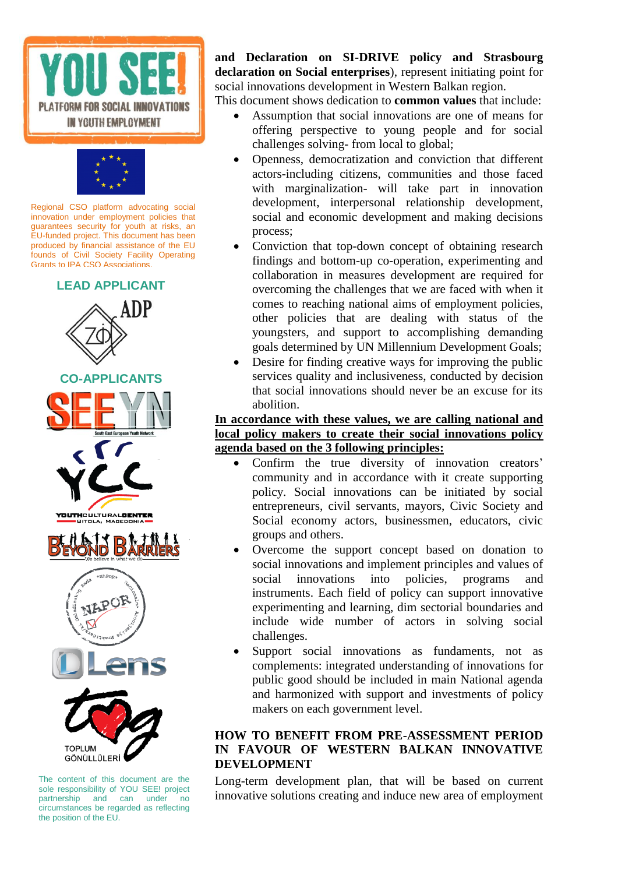



## **LEAD APPLICANT**



The content of this document are the sole responsibility of YOU SEE! project partnership and can under no circumstances be regarded as reflecting the position of the EU.

**and Declaration on SI-DRIVE policy and Strasbourg declaration on Social enterprises**), represent initiating point for social innovations development in Western Balkan region.

This document shows dedication to **common values** that include:

- Assumption that social innovations are one of means for offering perspective to young people and for social challenges solving- from local to global;
- Openness, democratization and conviction that different actors-including citizens, communities and those faced with marginalization- will take part in innovation development, interpersonal relationship development, social and economic development and making decisions process;
- Conviction that top-down concept of obtaining research findings and bottom-up co-operation, experimenting and collaboration in measures development are required for overcoming the challenges that we are faced with when it comes to reaching national aims of employment policies, other policies that are dealing with status of the youngsters, and support to accomplishing demanding goals determined by UN Millennium Development Goals;
- Desire for finding creative ways for improving the public services quality and inclusiveness, conducted by decision that social innovations should never be an excuse for its abolition.

#### **In accordance with these values, we are calling national and local policy makers to create their social innovations policy agenda based on the 3 following principles:**

- Confirm the true diversity of innovation creators' community and in accordance with it create supporting policy. Social innovations can be initiated by social entrepreneurs, civil servants, mayors, Civic Society and Social economy actors, businessmen, educators, civic groups and others.
- Overcome the support concept based on donation to social innovations and implement principles and values of social innovations into policies, programs and instruments. Each field of policy can support innovative experimenting and learning, dim sectorial boundaries and include wide number of actors in solving social challenges.
- Support social innovations as fundaments, not as complements: integrated understanding of innovations for public good should be included in main National agenda and harmonized with support and investments of policy makers on each government level.

#### **HOW TO BENEFIT FROM PRE-ASSESSMENT PERIOD IN FAVOUR OF WESTERN BALKAN INNOVATIVE DEVELOPMENT**

Long-term development plan, that will be based on current innovative solutions creating and induce new area of employment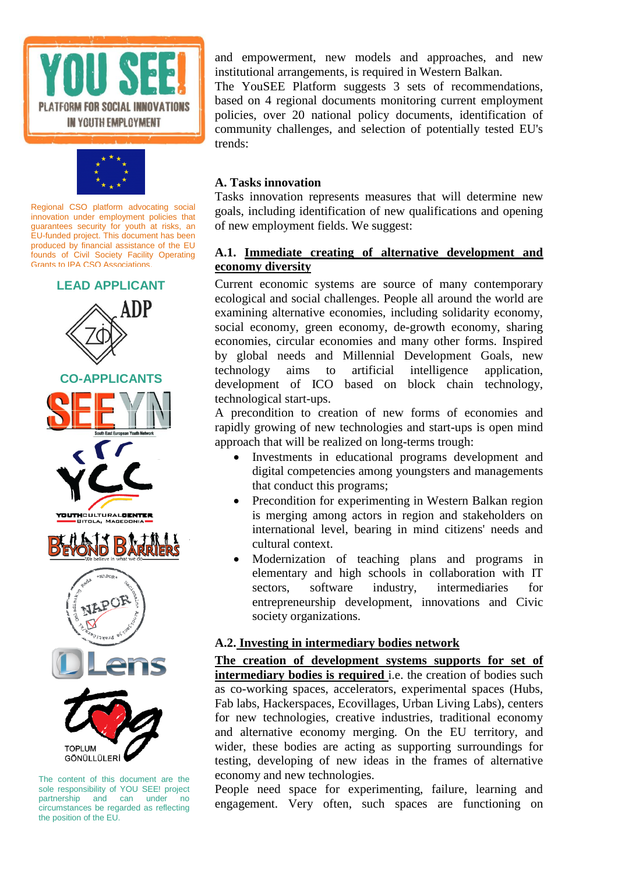



## **LEAD APPLICANT**



The content of this document are the sole responsibility of YOU SEE! project partnership and can under no circumstances be regarded as reflecting the position of the EU.

and empowerment, new models and approaches, and new institutional arrangements, is required in Western Balkan.

The YouSEE Platform suggests 3 sets of recommendations, based on 4 regional documents monitoring current employment policies, over 20 national policy documents, identification of community challenges, and selection of potentially tested EU's trends:

#### **A. Tasks innovation**

Tasks innovation represents measures that will determine new goals, including identification of new qualifications and opening of new employment fields. We suggest:

#### **A.1. Immediate creating of alternative development and economy diversity**

Current economic systems are source of many contemporary ecological and social challenges. People all around the world are examining alternative economies, including solidarity economy, social economy, green economy, de-growth economy, sharing economies, circular economies and many other forms. Inspired by global needs and Millennial Development Goals, new technology aims to artificial intelligence application, development of ICO based on block chain technology, technological start-ups.

A precondition to creation of new forms of economies and rapidly growing of new technologies and start-ups is open mind approach that will be realized on long-terms trough:

- Investments in educational programs development and digital competencies among youngsters and managements that conduct this programs;
- Precondition for experimenting in Western Balkan region is merging among actors in region and stakeholders on international level, bearing in mind citizens' needs and cultural context.
- Modernization of teaching plans and programs in elementary and high schools in collaboration with IT sectors, software industry, intermediaries for entrepreneurship development, innovations and Civic society organizations.

#### **A.2. Investing in intermediary bodies network**

**The creation of development systems supports for set of intermediary bodies is required** i.e. the creation of bodies such as co-working spaces, accelerators, experimental spaces (Hubs, Fab labs, Hackerspaces, Ecovillages, Urban Living Labs), centers for new technologies, creative industries, traditional economy and alternative economy merging. On the EU territory, and wider, these bodies are acting as supporting surroundings for testing, developing of new ideas in the frames of alternative economy and new technologies.

People need space for experimenting, failure, learning and engagement. Very often, such spaces are functioning on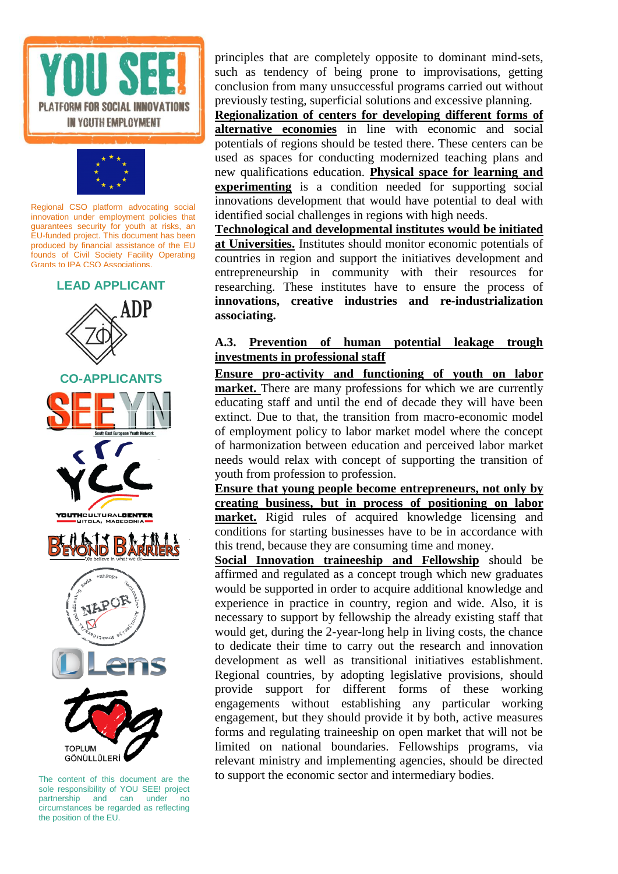



#### **LEAD APPLICANT**



The content of this document are the sole responsibility of YOU SEE! project partnership and can under no circumstances be regarded as reflecting the position of the EU.

principles that are completely opposite to dominant mind-sets, such as tendency of being prone to improvisations, getting conclusion from many unsuccessful programs carried out without previously testing, superficial solutions and excessive planning.

**Regionalization of centers for developing different forms of alternative economies** in line with economic and social potentials of regions should be tested there. These centers can be used as spaces for conducting modernized teaching plans and new qualifications education. **Physical space for learning and experimenting** is a condition needed for supporting social innovations development that would have potential to deal with identified social challenges in regions with high needs.

**Technological and developmental institutes would be initiated at Universities.** Institutes should monitor economic potentials of countries in region and support the initiatives development and entrepreneurship in community with their resources for researching. These institutes have to ensure the process of **innovations, creative industries and re-industrialization associating.** 

#### **A.3. Prevention of human potential leakage trough investments in professional staff**

**Ensure pro-activity and functioning of youth on labor market.** There are many professions for which we are currently educating staff and until the end of decade they will have been extinct. Due to that, the transition from macro-economic model of employment policy to labor market model where the concept of harmonization between education and perceived labor market needs would relax with concept of supporting the transition of youth from profession to profession.

**Ensure that young people become entrepreneurs, not only by creating business, but in process of positioning on labor market.** Rigid rules of acquired knowledge licensing and conditions for starting businesses have to be in accordance with this trend, because they are consuming time and money.

**Social Innovation traineeship and Fellowship** should be affirmed and regulated as a concept trough which new graduates would be supported in order to acquire additional knowledge and experience in practice in country, region and wide. Also, it is necessary to support by fellowship the already existing staff that would get, during the 2-year-long help in living costs, the chance to dedicate their time to carry out the research and innovation development as well as transitional initiatives establishment. Regional countries, by adopting legislative provisions, should provide support for different forms of these working engagements without establishing any particular working engagement, but they should provide it by both, active measures forms and regulating traineeship on open market that will not be limited on national boundaries. Fellowships programs, via relevant ministry and implementing agencies, should be directed to support the economic sector and intermediary bodies.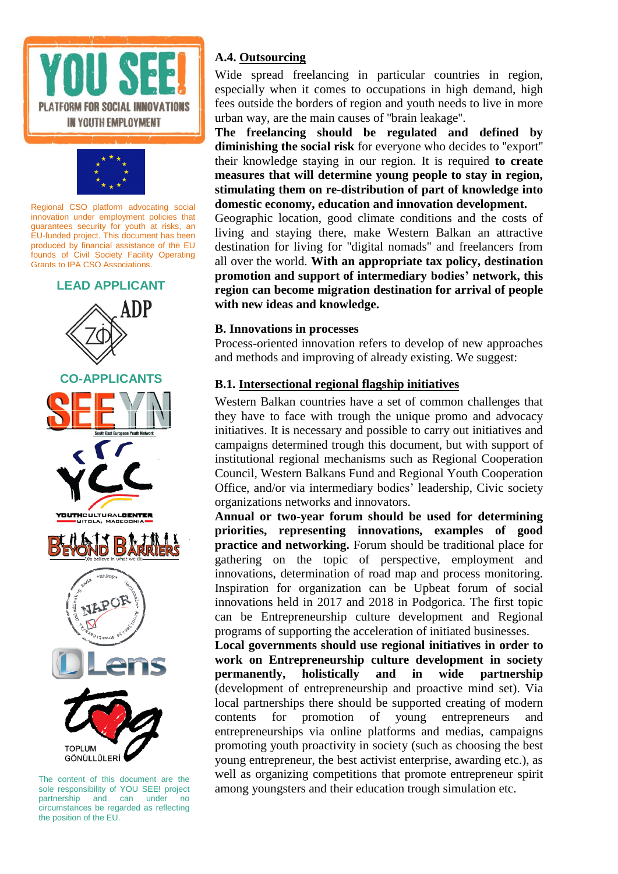



#### **LEAD APPLICANT**



The content of this document are the sole responsibility of YOU SEE! project partnership and can under no circumstances be regarded as reflecting the position of the EU.

#### **A.4. Outsourcing**

Wide spread freelancing in particular countries in region, especially when it comes to occupations in high demand, high fees outside the borders of region and youth needs to live in more urban way, are the main causes of ''brain leakage''.

**The freelancing should be regulated and defined by diminishing the social risk** for everyone who decides to ''export'' their knowledge staying in our region. It is required **to create measures that will determine young people to stay in region, stimulating them on re-distribution of part of knowledge into domestic economy, education and innovation development.**

Geographic location, good climate conditions and the costs of living and staying there, make Western Balkan an attractive destination for living for ''digital nomads'' and freelancers from all over the world. **With an appropriate tax policy, destination promotion and support of intermediary bodies' network, this region can become migration destination for arrival of people with new ideas and knowledge.**

#### **B. Innovations in processes**

Process-oriented innovation refers to develop of new approaches and methods and improving of already existing. We suggest:

#### **B.1. Intersectional regional flagship initiatives**

Western Balkan countries have a set of common challenges that they have to face with trough the unique promo and advocacy initiatives. It is necessary and possible to carry out initiatives and campaigns determined trough this document, but with support of institutional regional mechanisms such as Regional Cooperation Council, Western Balkans Fund and Regional Youth Cooperation Office, and/or via intermediary bodies' leadership, Civic society organizations networks and innovators.

**Annual or two-year forum should be used for determining priorities, representing innovations, examples of good practice and networking.** Forum should be traditional place for gathering on the topic of perspective, employment and innovations, determination of road map and process monitoring. Inspiration for organization can be Upbeat forum of social innovations held in 2017 and 2018 in Podgorica. The first topic can be Entrepreneurship culture development and Regional programs of supporting the acceleration of initiated businesses.

**Local governments should use regional initiatives in order to work on Entrepreneurship culture development in society permanently, holistically and in wide partnership** (development of entrepreneurship and proactive mind set). Via local partnerships there should be supported creating of modern contents for promotion of young entrepreneurs and entrepreneurships via online platforms and medias, campaigns promoting youth proactivity in society (such as choosing the best young entrepreneur, the best activist enterprise, awarding etc.), as well as organizing competitions that promote entrepreneur spirit among youngsters and their education trough simulation etc.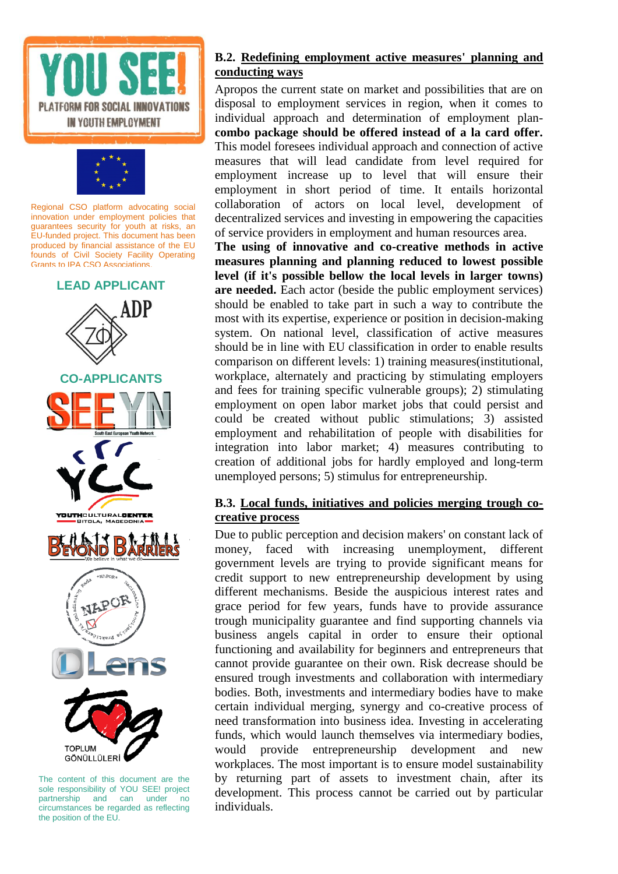





The content of this document are the sole responsibility of YOU SEE! project partnership and can under no circumstances be regarded as reflecting the position of the EU.

#### **B.2. Redefining employment active measures' planning and conducting ways**

Apropos the current state on market and possibilities that are on disposal to employment services in region, when it comes to individual approach and determination of employment plan**combo package should be offered instead of a la card offer.**  This model foresees individual approach and connection of active measures that will lead candidate from level required for employment increase up to level that will ensure their employment in short period of time. It entails horizontal collaboration of actors on local level, development of decentralized services and investing in empowering the capacities of service providers in employment and human resources area.

**The using of innovative and co-creative methods in active measures planning and planning reduced to lowest possible level (if it's possible bellow the local levels in larger towns) are needed.** Each actor (beside the public employment services) should be enabled to take part in such a way to contribute the most with its expertise, experience or position in decision-making system. On national level, classification of active measures should be in line with EU classification in order to enable results comparison on different levels: 1) training measures(institutional, workplace, alternately and practicing by stimulating employers and fees for training specific vulnerable groups); 2) stimulating employment on open labor market jobs that could persist and could be created without public stimulations; 3) assisted employment and rehabilitation of people with disabilities for integration into labor market; 4) measures contributing to creation of additional jobs for hardly employed and long-term unemployed persons; 5) stimulus for entrepreneurship.

#### **B.3. Local funds, initiatives and policies merging trough cocreative process**

Due to public perception and decision makers' on constant lack of money, faced with increasing unemployment, different government levels are trying to provide significant means for credit support to new entrepreneurship development by using different mechanisms. Beside the auspicious interest rates and grace period for few years, funds have to provide assurance trough municipality guarantee and find supporting channels via business angels capital in order to ensure their optional functioning and availability for beginners and entrepreneurs that cannot provide guarantee on their own. Risk decrease should be ensured trough investments and collaboration with intermediary bodies. Both, investments and intermediary bodies have to make certain individual merging, synergy and co-creative process of need transformation into business idea. Investing in accelerating funds, which would launch themselves via intermediary bodies, would provide entrepreneurship development and new workplaces. The most important is to ensure model sustainability by returning part of assets to investment chain, after its development. This process cannot be carried out by particular individuals.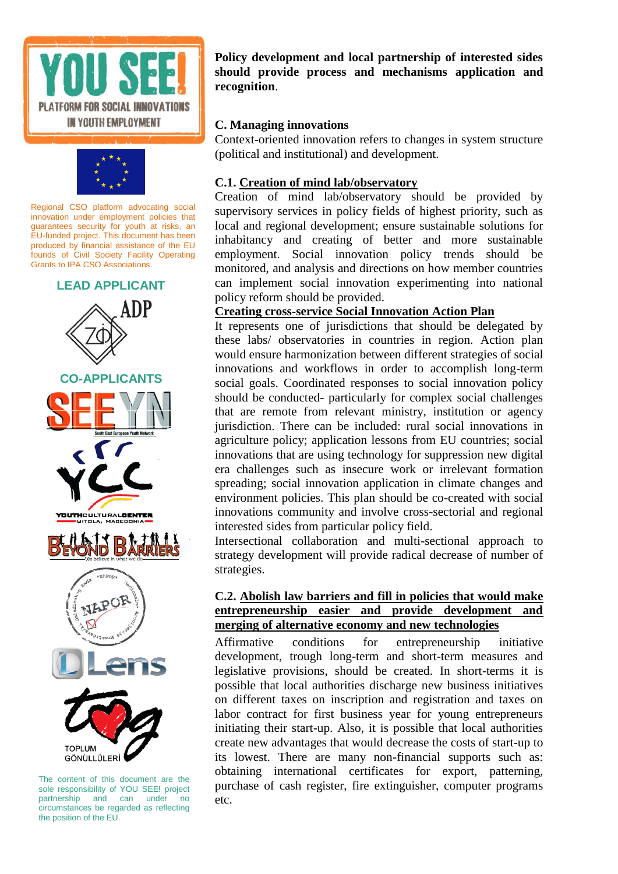



## **LEAD APPLICANT**



The content of this document are the sole responsibility of YOU SEE! project partnership and can under no circumstances be regarded as reflecting the position of the EU.

**Policy development and local partnership of interested sides should provide process and mechanisms application and recognition**.

#### **C. Managing innovations**

Context-oriented innovation refers to changes in system structure (political and institutional) and development.

#### **C.1. Creation of mind lab/observatory**

Creation of mind lab/observatory should be provided by supervisory services in policy fields of highest priority, such as local and regional development; ensure sustainable solutions for inhabitancy and creating of better and more sustainable employment. Social innovation policy trends should be monitored, and analysis and directions on how member countries can implement social innovation experimenting into national policy reform should be provided.

#### **Creating cross-service Social Innovation Action Plan**

It represents one of jurisdictions that should be delegated by these labs/ observatories in countries in region. Action plan would ensure harmonization between different strategies of social innovations and workflows in order to accomplish long-term social goals. Coordinated responses to social innovation policy should be conducted- particularly for complex social challenges that are remote from relevant ministry, institution or agency jurisdiction. There can be included: rural social innovations in agriculture policy; application lessons from EU countries; social innovations that are using technology for suppression new digital era challenges such as insecure work or irrelevant formation spreading; social innovation application in climate changes and environment policies. This plan should be co-created with social innovations community and involve cross-sectorial and regional interested sides from particular policy field.

Intersectional collaboration and multi-sectional approach to strategy development will provide radical decrease of number of strategies.

#### **C.2. Abolish law barriers and fill in policies that would make entrepreneurship easier and provide development and merging of alternative economy and new technologies**

Affirmative conditions for entrepreneurship initiative development, trough long-term and short-term measures and legislative provisions, should be created. In short-terms it is possible that local authorities discharge new business initiatives on different taxes on inscription and registration and taxes on labor contract for first business year for young entrepreneurs initiating their start-up. Also, it is possible that local authorities create new advantages that would decrease the costs of start-up to its lowest. There are many non-financial supports such as: obtaining international certificates for export, patterning, purchase of cash register, fire extinguisher, computer programs etc.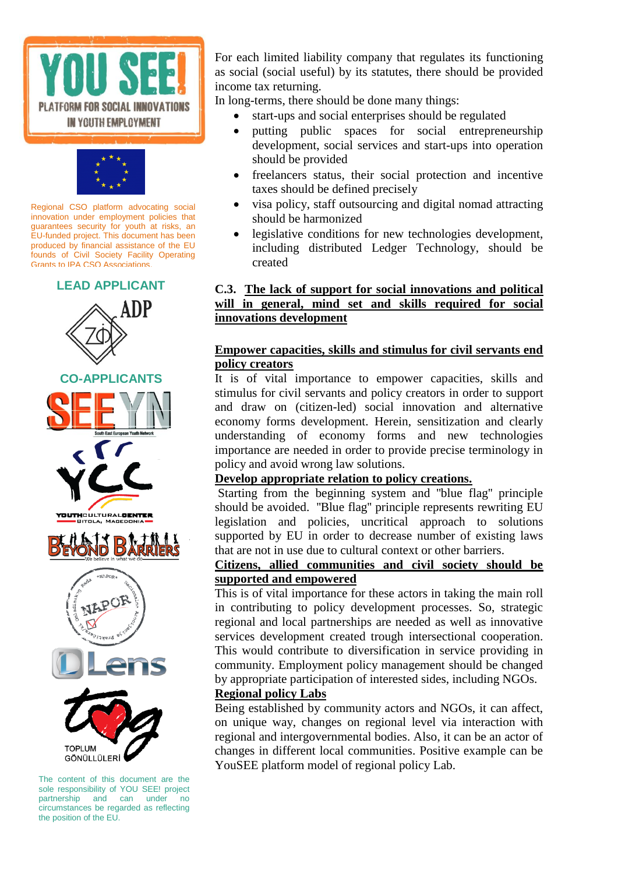



#### **LEAD APPLICANT**



The content of this document are the sole responsibility of YOU SEE! project partnership and can under no circumstances be regarded as reflecting the position of the EU.

For each limited liability company that regulates its functioning as social (social useful) by its statutes, there should be provided income tax returning.

In long-terms, there should be done many things:

- start-ups and social enterprises should be regulated
- putting public spaces for social entrepreneurship development, social services and start-ups into operation should be provided
- freelancers status, their social protection and incentive taxes should be defined precisely
- visa policy, staff outsourcing and digital nomad attracting should be harmonized
- legislative conditions for new technologies development, including distributed Ledger Technology, should be created

#### **C.3. The lack of support for social innovations and political will in general, mind set and skills required for social innovations development**

#### **Empower capacities, skills and stimulus for civil servants end policy creators**

It is of vital importance to empower capacities, skills and stimulus for civil servants and policy creators in order to support and draw on (citizen-led) social innovation and alternative economy forms development. Herein, sensitization and clearly understanding of economy forms and new technologies importance are needed in order to provide precise terminology in policy and avoid wrong law solutions.

#### **Develop appropriate relation to policy creations.**

Starting from the beginning system and ''blue flag'' principle should be avoided. ''Blue flag'' principle represents rewriting EU legislation and policies, uncritical approach to solutions supported by EU in order to decrease number of existing laws that are not in use due to cultural context or other barriers.

#### **Citizens, allied communities and civil society should be supported and empowered**

This is of vital importance for these actors in taking the main roll in contributing to policy development processes. So, strategic regional and local partnerships are needed as well as innovative services development created trough intersectional cooperation. This would contribute to diversification in service providing in community. Employment policy management should be changed by appropriate participation of interested sides, including NGOs. **Regional policy Labs** 

## Being established by community actors and NGOs, it can affect,

on unique way, changes on regional level via interaction with regional and intergovernmental bodies. Also, it can be an actor of changes in different local communities. Positive example can be YouSEE platform model of regional policy Lab.